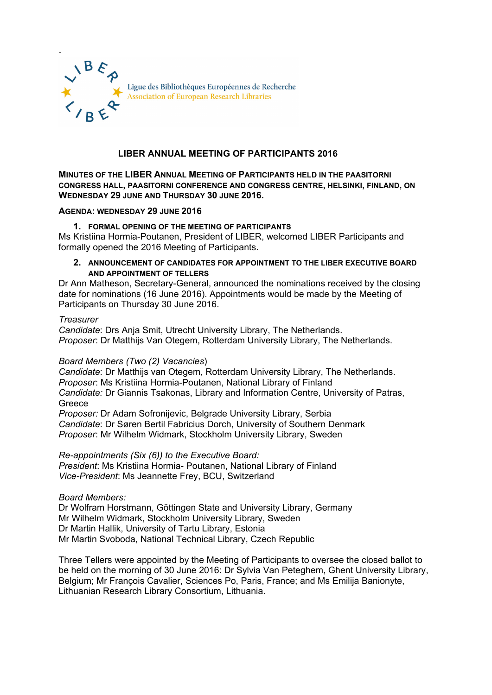

# **LIBER ANNUAL MEETING OF PARTICIPANTS 2016**

**MINUTES OF THE LIBER ANNUAL MEETING OF PARTICIPANTS HELD IN THE PAASITORNI CONGRESS HALL, PAASITORNI CONFERENCE AND CONGRESS CENTRE, HELSINKI, FINLAND, ON WEDNESDAY 29 JUNE AND THURSDAY 30 JUNE 2016.**

### **AGENDA: WEDNESDAY 29 JUNE 2016**

### **1. FORMAL OPENING OF THE MEETING OF PARTICIPANTS**

Ms Kristiina Hormia-Poutanen, President of LIBER, welcomed LIBER Participants and formally opened the 2016 Meeting of Participants.

### **2. ANNOUNCEMENT OF CANDIDATES FOR APPOINTMENT TO THE LIBER EXECUTIVE BOARD AND APPOINTMENT OF TELLERS**

Dr Ann Matheson, Secretary-General, announced the nominations received by the closing date for nominations (16 June 2016). Appointments would be made by the Meeting of Participants on Thursday 30 June 2016.

### *Treasurer*

*Candidate*: Drs Anja Smit, Utrecht University Library, The Netherlands. *Proposer*: Dr Matthijs Van Otegem, Rotterdam University Library, The Netherlands.

## *Board Members (Two (2) Vacancies*)

*Candidate*: Dr Matthijs van Otegem, Rotterdam University Library, The Netherlands. *Proposer*: Ms Kristiina Hormia-Poutanen, National Library of Finland *Candidate:* Dr Giannis Tsakonas, Library and Information Centre, University of Patras, Greece

*Proposer:* Dr Adam Sofronijevic, Belgrade University Library, Serbia *Candidate*: Dr Søren Bertil Fabricius Dorch, University of Southern Denmark *Proposer*: Mr Wilhelm Widmark, Stockholm University Library, Sweden

*Re-appointments (Six (6)) to the Executive Board: President*: Ms Kristiina Hormia- Poutanen, National Library of Finland *Vice-President*: Ms Jeannette Frey, BCU, Switzerland

## *Board Members:*

Dr Wolfram Horstmann, Göttingen State and University Library, Germany Mr Wilhelm Widmark, Stockholm University Library, Sweden Dr Martin Hallik, University of Tartu Library, Estonia Mr Martin Svoboda, National Technical Library, Czech Republic

Three Tellers were appointed by the Meeting of Participants to oversee the closed ballot to be held on the morning of 30 June 2016: Dr Sylvia Van Peteghem, Ghent University Library, Belgium; Mr François Cavalier, Sciences Po, Paris, France; and Ms Emilija Banionyte, Lithuanian Research Library Consortium, Lithuania.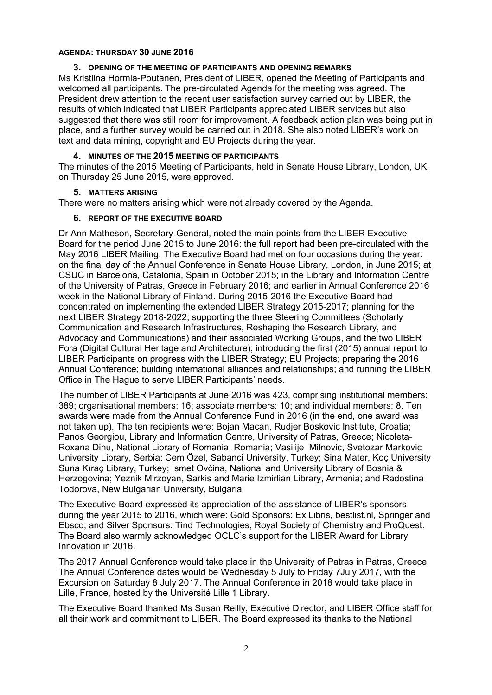## **AGENDA: THURSDAY 30 JUNE 2016**

### **3. OPENING OF THE MEETING OF PARTICIPANTS AND OPENING REMARKS**

Ms Kristiina Hormia-Poutanen, President of LIBER, opened the Meeting of Participants and welcomed all participants. The pre-circulated Agenda for the meeting was agreed. The President drew attention to the recent user satisfaction survey carried out by LIBER, the results of which indicated that LIBER Participants appreciated LIBER services but also suggested that there was still room for improvement. A feedback action plan was being put in place, and a further survey would be carried out in 2018. She also noted LIBER's work on text and data mining, copyright and EU Projects during the year.

### **4. MINUTES OF THE 2015 MEETING OF PARTICIPANTS**

The minutes of the 2015 Meeting of Participants, held in Senate House Library, London, UK, on Thursday 25 June 2015, were approved.

### **5. MATTERS ARISING**

There were no matters arising which were not already covered by the Agenda.

### **6. REPORT OF THE EXECUTIVE BOARD**

Dr Ann Matheson, Secretary-General, noted the main points from the LIBER Executive Board for the period June 2015 to June 2016: the full report had been pre-circulated with the May 2016 LIBER Mailing. The Executive Board had met on four occasions during the year: on the final day of the Annual Conference in Senate House Library, London, in June 2015; at CSUC in Barcelona, Catalonia, Spain in October 2015; in the Library and Information Centre of the University of Patras, Greece in February 2016; and earlier in Annual Conference 2016 week in the National Library of Finland. During 2015-2016 the Executive Board had concentrated on implementing the extended LIBER Strategy 2015-2017; planning for the next LIBER Strategy 2018-2022; supporting the three Steering Committees (Scholarly Communication and Research Infrastructures, Reshaping the Research Library, and Advocacy and Communications) and their associated Working Groups, and the two LIBER Fora (Digital Cultural Heritage and Architecture); introducing the first (2015) annual report to LIBER Participants on progress with the LIBER Strategy; EU Projects; preparing the 2016 Annual Conference; building international alliances and relationships; and running the LIBER Office in The Hague to serve LIBER Participants' needs.

The number of LIBER Participants at June 2016 was 423, comprising institutional members: 389; organisational members: 16; associate members: 10; and individual members: 8. Ten awards were made from the Annual Conference Fund in 2016 (in the end, one award was not taken up). The ten recipients were: Bojan Macan, Rudjer Boskovic Institute, Croatia; Panos Georgiou, Library and Information Centre, University of Patras, Greece; Nicoleta-Roxana Dinu, National Library of Romania, Romania; Vasilije Milnovic, Svetozar Markovic University Library, Serbia; Cem Özel, Sabanci University, Turkey; Sina Mater, Koç University Suna Kıraç Library, Turkey; Ismet Ovčina, National and University Library of Bosnia & Herzogovina; Yeznik Mirzoyan, Sarkis and Marie Izmirlian Library, Armenia; and Radostina Todorova, New Bulgarian University, Bulgaria

The Executive Board expressed its appreciation of the assistance of LIBER's sponsors during the year 2015 to 2016, which were: Gold Sponsors: Ex Libris, bestlist.nl, Springer and Ebsco; and Silver Sponsors: Tind Technologies, Royal Society of Chemistry and ProQuest. The Board also warmly acknowledged OCLC's support for the LIBER Award for Library Innovation in 2016.

The 2017 Annual Conference would take place in the University of Patras in Patras, Greece. The Annual Conference dates would be Wednesday 5 July to Friday 7July 2017, with the Excursion on Saturday 8 July 2017. The Annual Conference in 2018 would take place in Lille, France, hosted by the Université Lille 1 Library.

The Executive Board thanked Ms Susan Reilly, Executive Director, and LIBER Office staff for all their work and commitment to LIBER. The Board expressed its thanks to the National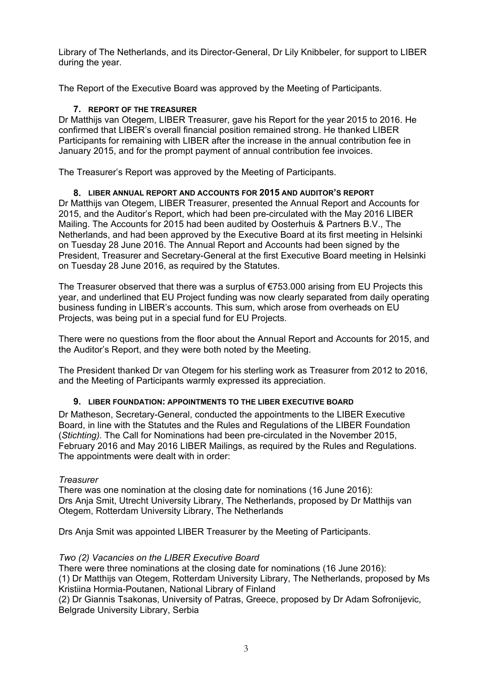Library of The Netherlands, and its Director-General, Dr Lily Knibbeler, for support to LIBER during the year.

The Report of the Executive Board was approved by the Meeting of Participants.

# **7. REPORT OF THE TREASURER**

Dr Matthijs van Otegem, LIBER Treasurer, gave his Report for the year 2015 to 2016. He confirmed that LIBER's overall financial position remained strong. He thanked LIBER Participants for remaining with LIBER after the increase in the annual contribution fee in January 2015, and for the prompt payment of annual contribution fee invoices.

The Treasurer's Report was approved by the Meeting of Participants.

# **8. LIBER ANNUAL REPORT AND ACCOUNTS FOR 2015 AND AUDITOR'S REPORT**

Dr Matthijs van Otegem, LIBER Treasurer, presented the Annual Report and Accounts for 2015, and the Auditor's Report, which had been pre-circulated with the May 2016 LIBER Mailing. The Accounts for 2015 had been audited by Oosterhuis & Partners B.V., The Netherlands, and had been approved by the Executive Board at its first meeting in Helsinki on Tuesday 28 June 2016. The Annual Report and Accounts had been signed by the President, Treasurer and Secretary-General at the first Executive Board meeting in Helsinki on Tuesday 28 June 2016, as required by the Statutes.

The Treasurer observed that there was a surplus of  $\epsilon$ 753.000 arising from EU Projects this year, and underlined that EU Project funding was now clearly separated from daily operating business funding in LIBER's accounts. This sum, which arose from overheads on EU Projects, was being put in a special fund for EU Projects.

There were no questions from the floor about the Annual Report and Accounts for 2015, and the Auditor's Report, and they were both noted by the Meeting.

The President thanked Dr van Otegem for his sterling work as Treasurer from 2012 to 2016, and the Meeting of Participants warmly expressed its appreciation.

## **9. LIBER FOUNDATION: APPOINTMENTS TO THE LIBER EXECUTIVE BOARD**

Dr Matheson, Secretary-General, conducted the appointments to the LIBER Executive Board, in line with the Statutes and the Rules and Regulations of the LIBER Foundation (*Stichting).* The Call for Nominations had been pre-circulated in the November 2015, February 2016 and May 2016 LIBER Mailings, as required by the Rules and Regulations. The appointments were dealt with in order:

## *Treasurer*

There was one nomination at the closing date for nominations (16 June 2016): Drs Anja Smit, Utrecht University Library, The Netherlands, proposed by Dr Matthijs van Otegem, Rotterdam University Library, The Netherlands

Drs Anja Smit was appointed LIBER Treasurer by the Meeting of Participants.

## *Two (2) Vacancies on the LIBER Executive Board*

There were three nominations at the closing date for nominations (16 June 2016): (1) Dr Matthijs van Otegem, Rotterdam University Library, The Netherlands, proposed by Ms Kristiina Hormia-Poutanen, National Library of Finland

(2) Dr Giannis Tsakonas, University of Patras, Greece, proposed by Dr Adam Sofronijevic, Belgrade University Library, Serbia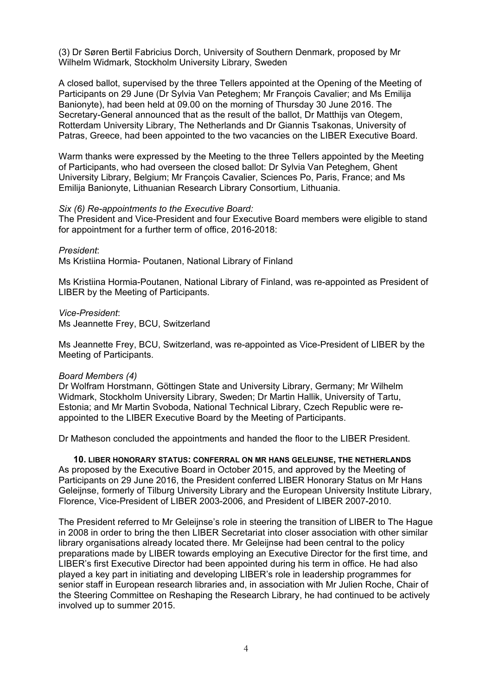(3) Dr Søren Bertil Fabricius Dorch, University of Southern Denmark, proposed by Mr Wilhelm Widmark, Stockholm University Library, Sweden

A closed ballot, supervised by the three Tellers appointed at the Opening of the Meeting of Participants on 29 June (Dr Sylvia Van Peteghem; Mr François Cavalier; and Ms Emilija Banionyte), had been held at 09.00 on the morning of Thursday 30 June 2016. The Secretary-General announced that as the result of the ballot, Dr Matthijs van Otegem, Rotterdam University Library, The Netherlands and Dr Giannis Tsakonas, University of Patras, Greece, had been appointed to the two vacancies on the LIBER Executive Board.

Warm thanks were expressed by the Meeting to the three Tellers appointed by the Meeting of Participants, who had overseen the closed ballot: Dr Sylvia Van Peteghem, Ghent University Library, Belgium; Mr François Cavalier, Sciences Po, Paris, France; and Ms Emilija Banionyte, Lithuanian Research Library Consortium, Lithuania.

#### *Six (6) Re-appointments to the Executive Board:*

The President and Vice-President and four Executive Board members were eligible to stand for appointment for a further term of office, 2016-2018:

*President*:

Ms Kristiina Hormia- Poutanen, National Library of Finland

Ms Kristiina Hormia-Poutanen, National Library of Finland, was re-appointed as President of LIBER by the Meeting of Participants.

*Vice-President*: Ms Jeannette Frey, BCU, Switzerland

Ms Jeannette Frey, BCU, Switzerland, was re-appointed as Vice-President of LIBER by the Meeting of Participants.

#### *Board Members (4)*

Dr Wolfram Horstmann, Göttingen State and University Library, Germany; Mr Wilhelm Widmark, Stockholm University Library, Sweden; Dr Martin Hallik, University of Tartu, Estonia; and Mr Martin Svoboda, National Technical Library, Czech Republic were reappointed to the LIBER Executive Board by the Meeting of Participants.

Dr Matheson concluded the appointments and handed the floor to the LIBER President.

**10. LIBER HONORARY STATUS: CONFERRAL ON MR HANS GELEIJNSE, THE NETHERLANDS** As proposed by the Executive Board in October 2015, and approved by the Meeting of Participants on 29 June 2016, the President conferred LIBER Honorary Status on Mr Hans Geleijnse, formerly of Tilburg University Library and the European University Institute Library, Florence, Vice-President of LIBER 2003-2006, and President of LIBER 2007-2010.

The President referred to Mr Geleijnse's role in steering the transition of LIBER to The Hague in 2008 in order to bring the then LIBER Secretariat into closer association with other similar library organisations already located there. Mr Geleijnse had been central to the policy preparations made by LIBER towards employing an Executive Director for the first time, and LIBER's first Executive Director had been appointed during his term in office. He had also played a key part in initiating and developing LIBER's role in leadership programmes for senior staff in European research libraries and, in association with Mr Julien Roche, Chair of the Steering Committee on Reshaping the Research Library, he had continued to be actively involved up to summer 2015.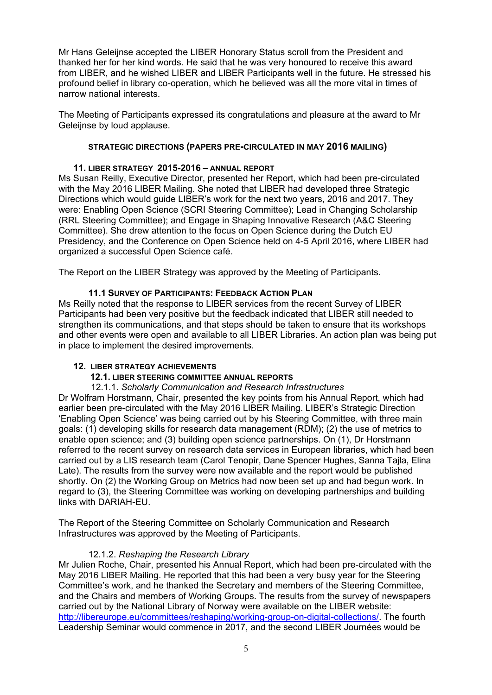Mr Hans Geleijnse accepted the LIBER Honorary Status scroll from the President and thanked her for her kind words. He said that he was very honoured to receive this award from LIBER, and he wished LIBER and LIBER Participants well in the future. He stressed his profound belief in library co-operation, which he believed was all the more vital in times of narrow national interests.

The Meeting of Participants expressed its congratulations and pleasure at the award to Mr Geleijnse by loud applause.

### **STRATEGIC DIRECTIONS (PAPERS PRE-CIRCULATED IN MAY 2016 MAILING)**

### **11. LIBER STRATEGY 2015-2016 – ANNUAL REPORT**

Ms Susan Reilly, Executive Director, presented her Report, which had been pre-circulated with the May 2016 LIBER Mailing. She noted that LIBER had developed three Strategic Directions which would guide LIBER's work for the next two years, 2016 and 2017. They were: Enabling Open Science (SCRI Steering Committee); Lead in Changing Scholarship (RRL Steering Committee); and Engage in Shaping Innovative Research (A&C Steering Committee). She drew attention to the focus on Open Science during the Dutch EU Presidency, and the Conference on Open Science held on 4-5 April 2016, where LIBER had organized a successful Open Science café.

The Report on the LIBER Strategy was approved by the Meeting of Participants.

## **11.1 SURVEY OF PARTICIPANTS: FEEDBACK ACTION PLAN**

Ms Reilly noted that the response to LIBER services from the recent Survey of LIBER Participants had been very positive but the feedback indicated that LIBER still needed to strengthen its communications, and that steps should be taken to ensure that its workshops and other events were open and available to all LIBER Libraries. An action plan was being put in place to implement the desired improvements.

### **12. LIBER STRATEGY ACHIEVEMENTS**

## **12.1. LIBER STEERING COMMITTEE ANNUAL REPORTS**

### 12.1.1. *Scholarly Communication and Research Infrastructures*

Dr Wolfram Horstmann, Chair, presented the key points from his Annual Report, which had earlier been pre-circulated with the May 2016 LIBER Mailing. LIBER's Strategic Direction 'Enabling Open Science' was being carried out by his Steering Committee, with three main goals: (1) developing skills for research data management (RDM); (2) the use of metrics to enable open science; and (3) building open science partnerships. On (1), Dr Horstmann referred to the recent survey on research data services in European libraries, which had been carried out by a LIS research team (Carol Tenopir, Dane Spencer Hughes, Sanna Tajla, Elina Late). The results from the survey were now available and the report would be published shortly. On (2) the Working Group on Metrics had now been set up and had begun work. In regard to (3), the Steering Committee was working on developing partnerships and building links with DARIAH-EU.

The Report of the Steering Committee on Scholarly Communication and Research Infrastructures was approved by the Meeting of Participants.

### 12.1.2. *Reshaping the Research Library*

Mr Julien Roche, Chair, presented his Annual Report, which had been pre-circulated with the May 2016 LIBER Mailing. He reported that this had been a very busy year for the Steering Committee's work, and he thanked the Secretary and members of the Steering Committee, and the Chairs and members of Working Groups. The results from the survey of newspapers carried out by the National Library of Norway were available on the LIBER website: [http://libereurope.eu/committees/reshaping/working-group-on-digital-collections/.](http://libereurope.eu/committees/reshaping/working-group-on-digital-collections/) The fourth Leadership Seminar would commence in 2017, and the second LIBER Journées would be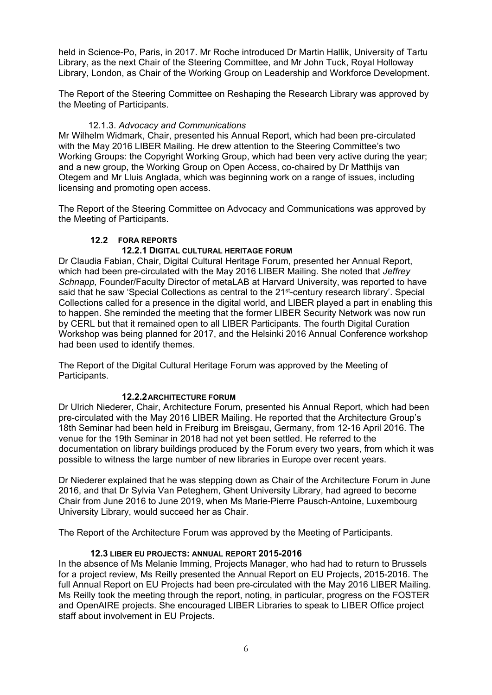held in Science-Po, Paris, in 2017. Mr Roche introduced Dr Martin Hallik, University of Tartu Library, as the next Chair of the Steering Committee, and Mr John Tuck, Royal Holloway Library, London, as Chair of the Working Group on Leadership and Workforce Development.

The Report of the Steering Committee on Reshaping the Research Library was approved by the Meeting of Participants.

## 12.1.3. *Advocacy and Communications*

Mr Wilhelm Widmark, Chair, presented his Annual Report, which had been pre-circulated with the May 2016 LIBER Mailing. He drew attention to the Steering Committee's two Working Groups: the Copyright Working Group, which had been very active during the year; and a new group, the Working Group on Open Access, co-chaired by Dr Matthijs van Otegem and Mr Lluis Anglada, which was beginning work on a range of issues, including licensing and promoting open access.

The Report of the Steering Committee on Advocacy and Communications was approved by the Meeting of Participants.

# **12.2 FORA REPORTS**

## **12.2.1 DIGITAL CULTURAL HERITAGE FORUM**

Dr Claudia Fabian, Chair, Digital Cultural Heritage Forum, presented her Annual Report, which had been pre-circulated with the May 2016 LIBER Mailing. She noted that *Jeffrey Schnapp,* Founder/Faculty Director of metaLAB at Harvard University, was reported to have said that he saw 'Special Collections as central to the 21st-century research library'. Special Collections called for a presence in the digital world, and LIBER played a part in enabling this to happen. She reminded the meeting that the former LIBER Security Network was now run by CERL but that it remained open to all LIBER Participants. The fourth Digital Curation Workshop was being planned for 2017, and the Helsinki 2016 Annual Conference workshop had been used to identify themes.

The Report of the Digital Cultural Heritage Forum was approved by the Meeting of Participants.

## **12.2.2ARCHITECTURE FORUM**

Dr Ulrich Niederer, Chair, Architecture Forum, presented his Annual Report, which had been pre-circulated with the May 2016 LIBER Mailing. He reported that the Architecture Group's 18th Seminar had been held in Freiburg im Breisgau, Germany, from 12-16 April 2016. The venue for the 19th Seminar in 2018 had not yet been settled. He referred to the documentation on library buildings produced by the Forum every two years, from which it was possible to witness the large number of new libraries in Europe over recent years.

Dr Niederer explained that he was stepping down as Chair of the Architecture Forum in June 2016, and that Dr Sylvia Van Peteghem, Ghent University Library, had agreed to become Chair from June 2016 to June 2019, when Ms Marie-Pierre Pausch-Antoine, Luxembourg University Library, would succeed her as Chair.

The Report of the Architecture Forum was approved by the Meeting of Participants.

## **12.3 LIBER EU PROJECTS: ANNUAL REPORT 2015-2016**

In the absence of Ms Melanie Imming, Projects Manager, who had had to return to Brussels for a project review, Ms Reilly presented the Annual Report on EU Projects, 2015-2016. The full Annual Report on EU Projects had been pre-circulated with the May 2016 LIBER Mailing. Ms Reilly took the meeting through the report, noting, in particular, progress on the FOSTER and OpenAIRE projects. She encouraged LIBER Libraries to speak to LIBER Office project staff about involvement in EU Projects.